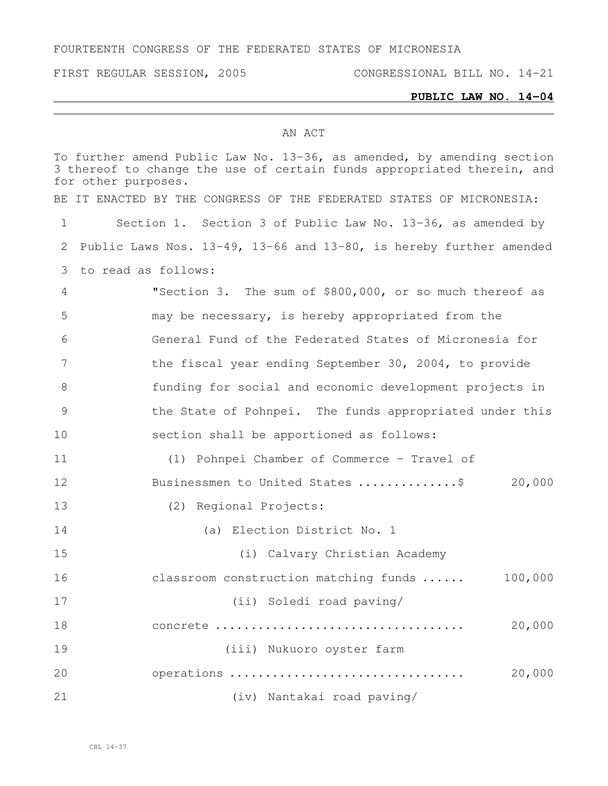#### FOURTEENTH CONGRESS OF THE FEDERATED STATES OF MICRONESIA

#### **PUBLIC LAW NO. 14-04**

#### AN ACT

To further amend Public Law No. 13-36, as amended, by amending section 3 thereof to change the use of certain funds appropriated therein, and for other purposes. BE IT ENACTED BY THE CONGRESS OF THE FEDERATED STATES OF MICRONESIA: Section 1. Section 3 of Public Law No. 13-36, as amended by Public Laws Nos. 13-49, 13-66 and 13-80, is hereby further amended to read as follows: "Section 3. The sum of \$800,000, or so much thereof as may be necessary, is hereby appropriated from the General Fund of the Federated States of Micronesia for the fiscal year ending September 30, 2004, to provide funding for social and economic development projects in the State of Pohnpei. The funds appropriated under this section shall be apportioned as follows: (1) Pohnpei Chamber of Commerce – Travel of 12 Businessmen to United States ................... 20,000 (2) Regional Projects: (a) Election District No. 1 (i) Calvary Christian Academy classroom construction matching funds ...... 100,000 (ii) Soledi road paving/ concrete ................................... 20,000 (iii) Nukuoro oyster farm operations ................................. 20,000 (iv) Nantakai road paving/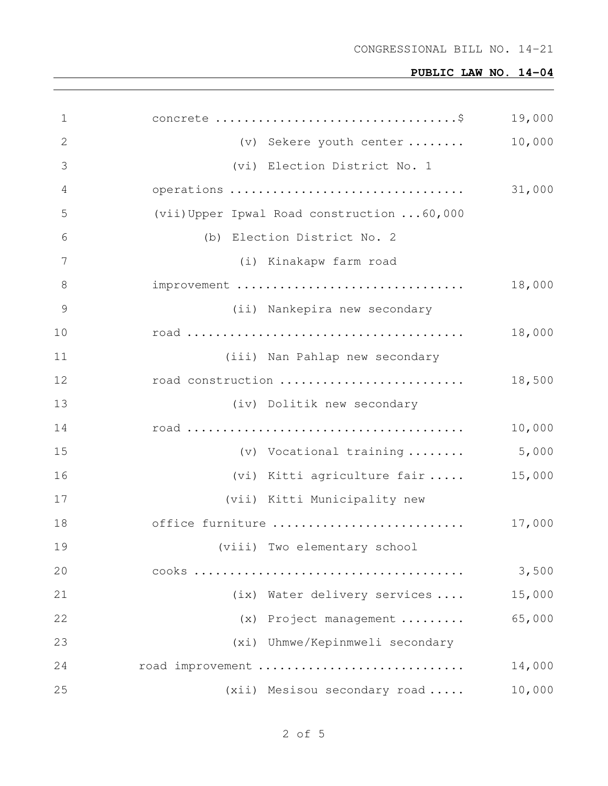| 1  |                                             | 19,000 |
|----|---------------------------------------------|--------|
| 2  | (v) Sekere youth center                     | 10,000 |
| 3  | (vi) Election District No. 1                |        |
| 4  | operations                                  | 31,000 |
| 5  | (vii) Upper Ipwal Road construction  60,000 |        |
| 6  | (b) Election District No. 2                 |        |
| 7  | (i) Kinakapw farm road                      |        |
| 8  | improvement                                 | 18,000 |
| 9  | (ii) Nankepira new secondary                |        |
| 10 |                                             | 18,000 |
| 11 | (iii) Nan Pahlap new secondary              |        |
| 12 | road construction                           | 18,500 |
| 13 | (iv) Dolitik new secondary                  |        |
| 14 |                                             | 10,000 |
| 15 | (v) Vocational training                     | 5,000  |
| 16 | (vi) Kitti agriculture fair                 | 15,000 |
| 17 | (vii) Kitti Municipality new                |        |
| 18 | office furniture                            | 17,000 |
| 19 | (viii) Two elementary school                |        |
| 20 |                                             | 3,500  |
| 21 | (ix) Water delivery services                | 15,000 |
| 22 | (x) Project management                      | 65,000 |
| 23 | (xi) Uhmwe/Kepinmweli secondary             |        |
| 24 | road improvement                            | 14,000 |
| 25 | $(xii)$ Mesisou secondary road              | 10,000 |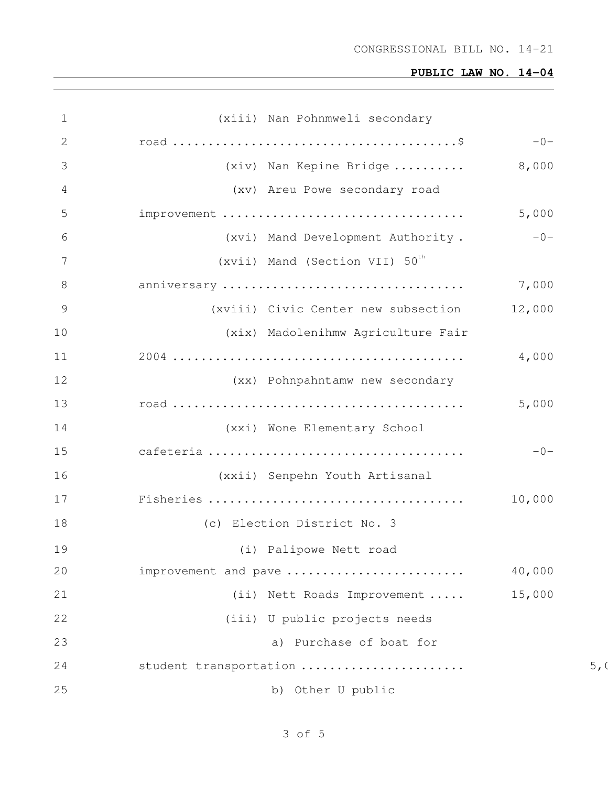| $\mathbf 1$    | (xiii) Nan Pohnmweli secondary             |        |                |
|----------------|--------------------------------------------|--------|----------------|
| 2              |                                            | $-0-$  |                |
| 3              | (xiv) Nan Kepine Bridge                    | 8,000  |                |
| 4              | (xv) Areu Powe secondary road              |        |                |
| 5              | improvement                                | 5,000  |                |
| 6              | (xvi) Mand Development Authority.          | $-0-$  |                |
| 7              | (xvii) Mand (Section VII) 50 <sup>th</sup> |        |                |
| 8              | anniversary                                | 7,000  |                |
| $\overline{9}$ | (xviii) Civic Center new subsection        | 12,000 |                |
| 10             | (xix) Madolenihmw Agriculture Fair         |        |                |
| 11             |                                            | 4,000  |                |
| 12             | (xx) Pohnpahntamw new secondary            |        |                |
| 13             |                                            | 5,000  |                |
| 14             | (xxi) Wone Elementary School               |        |                |
| 15             |                                            | $-0-$  |                |
| 16             | (xxii) Senpehn Youth Artisanal             |        |                |
| 17             |                                            | 10,000 |                |
| 18             | (c) Election District No. 3                |        |                |
| 19             | (i) Palipowe Nett road                     |        |                |
| 20             | improvement and pave                       | 40,000 |                |
| 21             | (ii) Nett Roads Improvement                | 15,000 |                |
| 22             | (iii) U public projects needs              |        |                |
| 23             | a) Purchase of boat for                    |        |                |
| 24             | student transportation                     |        | 5 <sub>1</sub> |
| 25             | b) Other U public                          |        |                |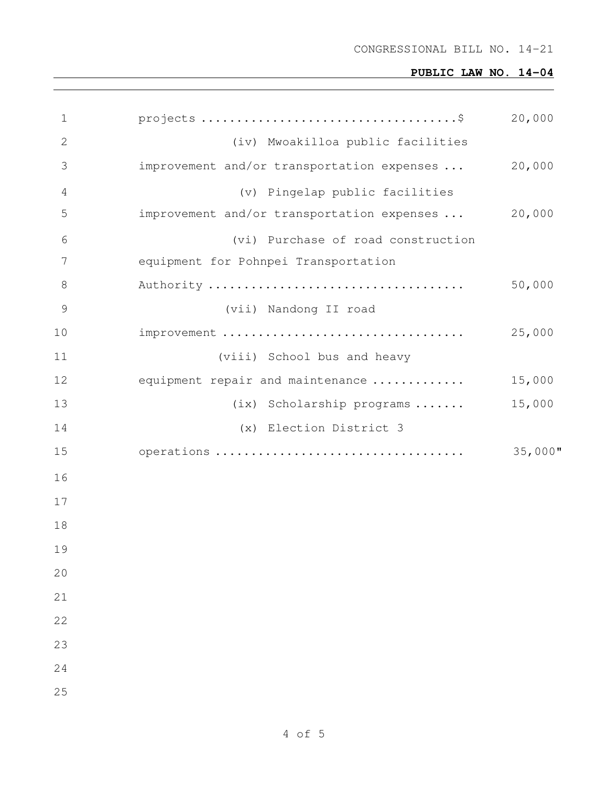| $\mathbf 1$    |                                            | 20,000     |
|----------------|--------------------------------------------|------------|
| $\mathbf{2}$   | (iv) Mwoakilloa public facilities          |            |
| 3              | improvement and/or transportation expenses | 20,000     |
| $\overline{4}$ | (v) Pingelap public facilities             |            |
| 5              | improvement and/or transportation expenses | 20,000     |
| 6              | (vi) Purchase of road construction         |            |
| 7              | equipment for Pohnpei Transportation       |            |
| 8              |                                            | 50,000     |
| $\mathcal{G}$  | (vii) Nandong II road                      |            |
| 10             | improvement                                | 25,000     |
| 11             | (viii) School bus and heavy                |            |
| 12             | equipment repair and maintenance           | 15,000     |
| 13             | (ix) Scholarship programs                  | 15,000     |
| 14             | (x) Election District 3                    |            |
| 15             | operations                                 | $35,000$ " |
| 16             |                                            |            |
| 17             |                                            |            |
| 18             |                                            |            |
| 19             |                                            |            |
| 20             |                                            |            |
| 21             |                                            |            |
| 22             |                                            |            |
| 23             |                                            |            |
| 24             |                                            |            |
| 25             |                                            |            |